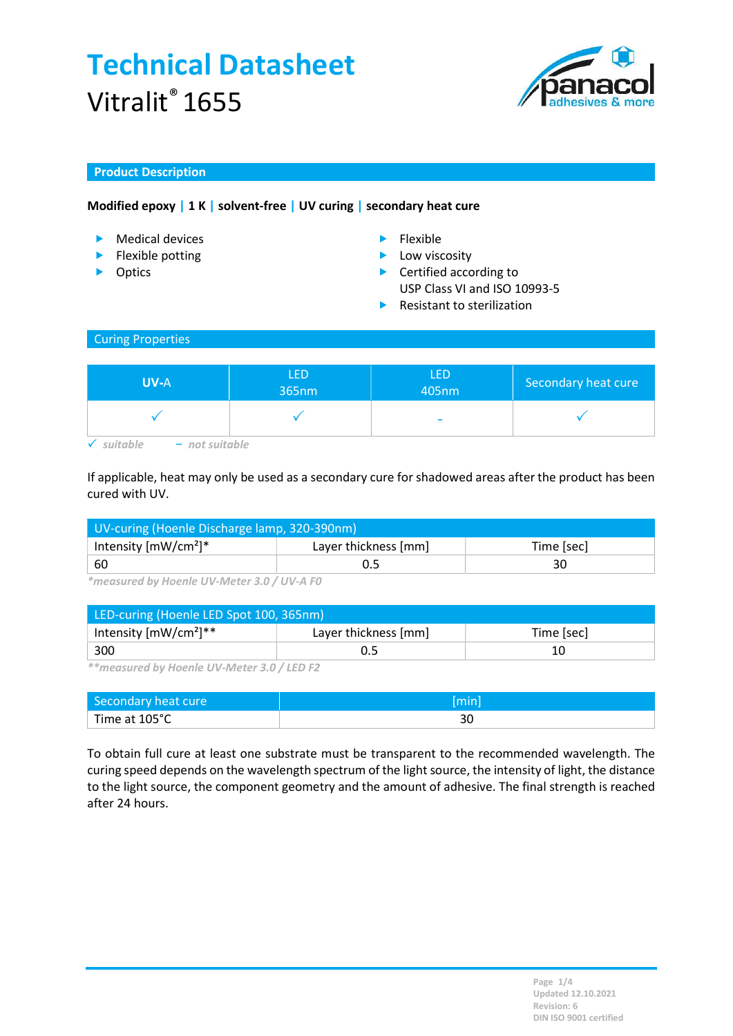

## Product Description

## Modified epoxy | 1 K | solvent-free | UV curing | secondary heat cure

- ▶ Medical devices **Flexible**
- $\blacktriangleright$  Flexible potting
- **Departs**
- 
- $\blacktriangleright$  Low viscosity
- ▶ Certified according to
- USP Class VI and ISO 10993-5
- $\blacktriangleright$  Resistant to sterilization

#### Curing Properties

| <b>UV-A</b>                | <b>LED</b><br>365nm | LED<br>405nm             | Secondary heat cure |
|----------------------------|---------------------|--------------------------|---------------------|
|                            |                     | $\overline{\phantom{a}}$ |                     |
| $-$ not suitable<br>itahlo |                     |                          |                     |

If applicable, heat may only be used as a secondary cure for shadowed areas after the product has been cured with UV.

| UV-curing (Hoenle Discharge lamp, 320-390nm) |                                    |    |  |
|----------------------------------------------|------------------------------------|----|--|
| Intensity $[mW/cm^2]^*$                      | Layer thickness [mm]<br>Time [sec] |    |  |
| -60                                          |                                    | 30 |  |

\*measured by Hoenle UV-Meter 3.0 / UV-A F0

| LED-curing (Hoenle LED Spot 100, 365nm) |                                    |  |  |
|-----------------------------------------|------------------------------------|--|--|
| Intensity $[mW/cm^2]^{**}$              | Layer thickness [mm]<br>Time [sec] |  |  |
| -300                                    |                                    |  |  |

\*\*measured by Hoenle UV-Meter 3.0 / LED F2

| Secondary heat cure | min |
|---------------------|-----|
| Time at 105°C       | JU  |

To obtain full cure at least one substrate must be transparent to the recommended wavelength. The curing speed depends on the wavelength spectrum of the light source, the intensity of light, the distance to the light source, the component geometry and the amount of adhesive. The final strength is reached after 24 hours.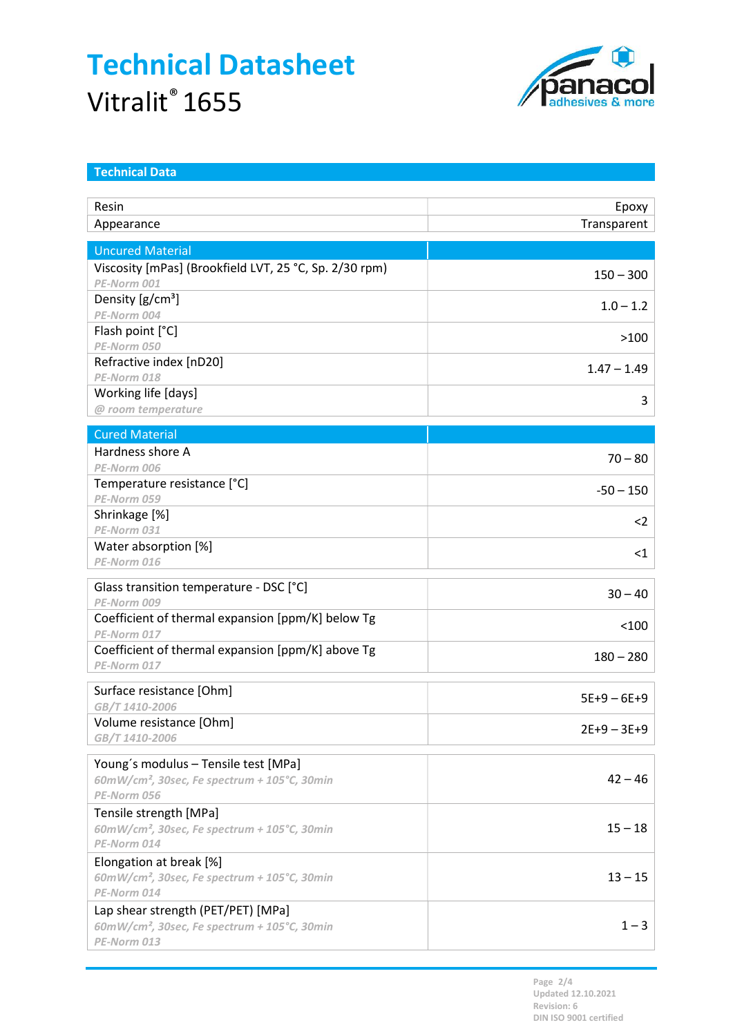

| <b>Technical Data</b>                                            |               |
|------------------------------------------------------------------|---------------|
| Resin                                                            | Epoxy         |
| Appearance                                                       | Transparent   |
|                                                                  |               |
| <b>Uncured Material</b>                                          |               |
| Viscosity [mPas] (Brookfield LVT, 25 °C, Sp. 2/30 rpm)           | $150 - 300$   |
| PE-Norm 001                                                      |               |
| Density [g/cm <sup>3</sup> ]                                     | $1.0 - 1.2$   |
| PE-Norm 004<br>Flash point [°C]                                  |               |
| PE-Norm 050                                                      | >100          |
| Refractive index [nD20]                                          |               |
| PE-Norm 018                                                      | $1.47 - 1.49$ |
| Working life [days]                                              | 3             |
| @ room temperature                                               |               |
| <b>Cured Material</b>                                            |               |
| Hardness shore A                                                 |               |
| PE-Norm 006                                                      | $70 - 80$     |
| Temperature resistance [°C]                                      | $-50 - 150$   |
| PE-Norm 059                                                      |               |
| Shrinkage [%]                                                    | $<$ 2         |
| PE-Norm 031                                                      |               |
| Water absorption [%]<br>PE-Norm 016                              | $<$ 1         |
|                                                                  |               |
| Glass transition temperature - DSC [°C]                          | $30 - 40$     |
| PE-Norm 009                                                      |               |
| Coefficient of thermal expansion [ppm/K] below Tg                | < 100         |
| PE-Norm 017<br>Coefficient of thermal expansion [ppm/K] above Tg |               |
| PE-Norm 017                                                      | $180 - 280$   |
|                                                                  |               |
| Surface resistance [Ohm]<br>GB/T1410-2006                        | $5E+9-6E+9$   |
| Volume resistance [Ohm]                                          |               |
| GB/T 1410-2006                                                   | $2E+9 - 3E+9$ |
|                                                                  |               |
| Young's modulus - Tensile test [MPa]                             | $42 - 46$     |
| $60mW/cm2$ , 30sec, Fe spectrum + 105°C, 30min<br>PE-Norm 056    |               |
| Tensile strength [MPa]                                           |               |
| 60mW/cm <sup>2</sup> , 30sec, Fe spectrum + 105°C, 30min         | $15 - 18$     |
| PE-Norm 014                                                      |               |
| Elongation at break [%]                                          |               |
| $60mW/cm2$ , 30sec, Fe spectrum + 105°C, 30min                   | $13 - 15$     |
| PE-Norm 014                                                      |               |
| Lap shear strength (PET/PET) [MPa]                               |               |
| 60mW/cm <sup>2</sup> , 30sec, Fe spectrum + 105°C, 30min         | $1 - 3$       |
| PE-Norm 013                                                      |               |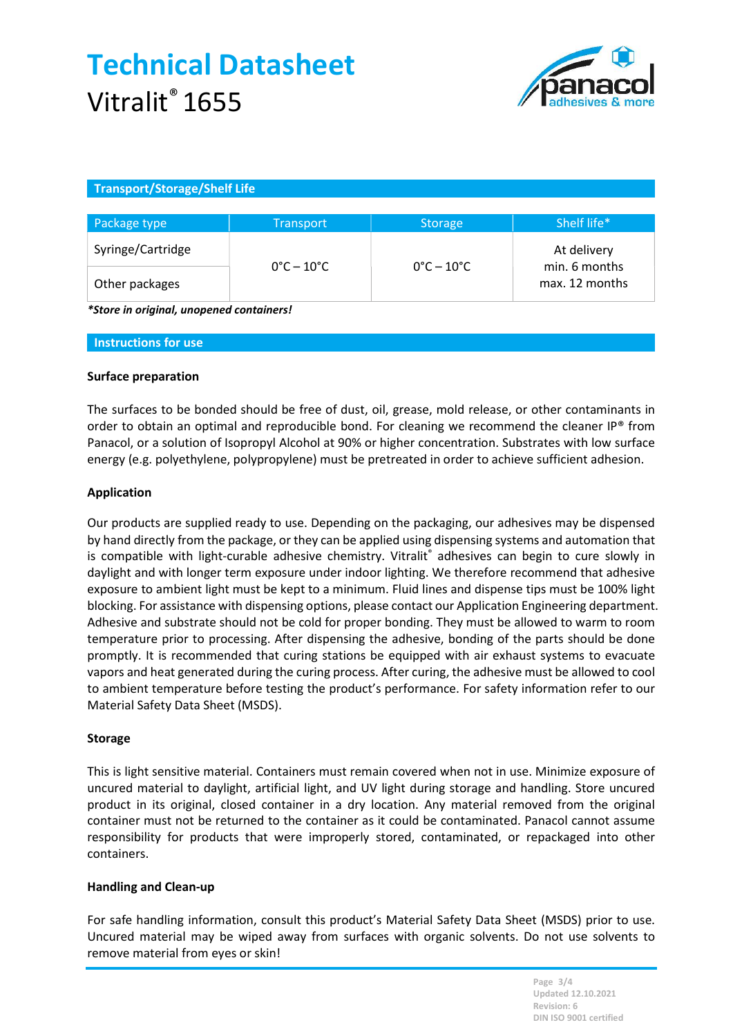

## Transport/Storage/Shelf Life

| Package type      | <b>Transport</b>                | <b>Storage</b>                  | Shelf life*                                    |
|-------------------|---------------------------------|---------------------------------|------------------------------------------------|
| Syringe/Cartridge | $0^{\circ}$ C – 10 $^{\circ}$ C | $0^{\circ}$ C – 10 $^{\circ}$ C | At delivery<br>min. 6 months<br>max. 12 months |
| Other packages    |                                 |                                 |                                                |

\*Store in original, unopened containers!

Instructions for use

### Surface preparation

The surfaces to be bonded should be free of dust, oil, grease, mold release, or other contaminants in order to obtain an optimal and reproducible bond. For cleaning we recommend the cleaner IP® from Panacol, or a solution of Isopropyl Alcohol at 90% or higher concentration. Substrates with low surface energy (e.g. polyethylene, polypropylene) must be pretreated in order to achieve sufficient adhesion.

### Application

Our products are supplied ready to use. Depending on the packaging, our adhesives may be dispensed by hand directly from the package, or they can be applied using dispensing systems and automation that is compatible with light-curable adhesive chemistry. Vitralit® adhesives can begin to cure slowly in daylight and with longer term exposure under indoor lighting. We therefore recommend that adhesive exposure to ambient light must be kept to a minimum. Fluid lines and dispense tips must be 100% light blocking. For assistance with dispensing options, please contact our Application Engineering department. Adhesive and substrate should not be cold for proper bonding. They must be allowed to warm to room temperature prior to processing. After dispensing the adhesive, bonding of the parts should be done promptly. It is recommended that curing stations be equipped with air exhaust systems to evacuate vapors and heat generated during the curing process. After curing, the adhesive must be allowed to cool to ambient temperature before testing the product's performance. For safety information refer to our Material Safety Data Sheet (MSDS).

#### Storage

This is light sensitive material. Containers must remain covered when not in use. Minimize exposure of uncured material to daylight, artificial light, and UV light during storage and handling. Store uncured product in its original, closed container in a dry location. Any material removed from the original container must not be returned to the container as it could be contaminated. Panacol cannot assume responsibility for products that were improperly stored, contaminated, or repackaged into other containers.

## Handling and Clean-up

For safe handling information, consult this product's Material Safety Data Sheet (MSDS) prior to use. Uncured material may be wiped away from surfaces with organic solvents. Do not use solvents to remove material from eyes or skin!